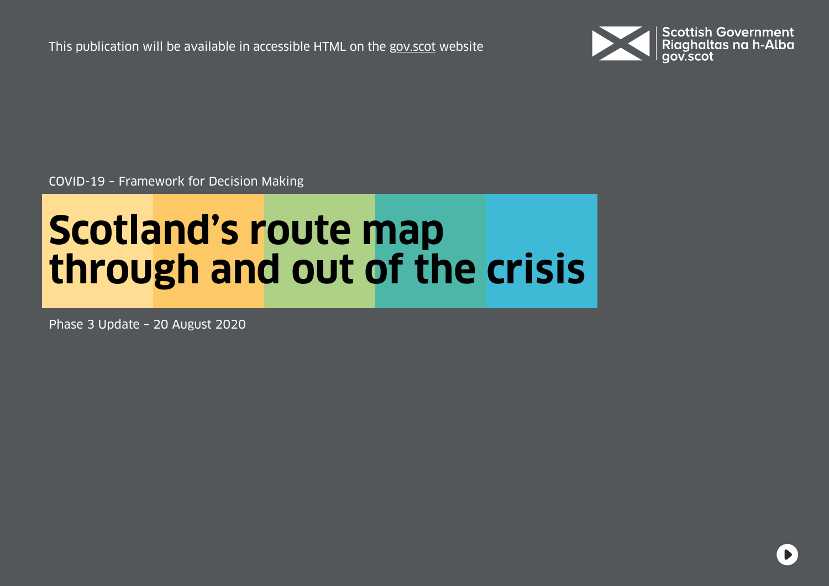This publication will be available in accessible HTML on the [gov.scot](https://www.gov.scot/isbn/9781839607851) website



COVID-19 – Framework for Decision Making

# **Scotland's route map through and out of the crisis**

Phase 3 Update – 20 August 2020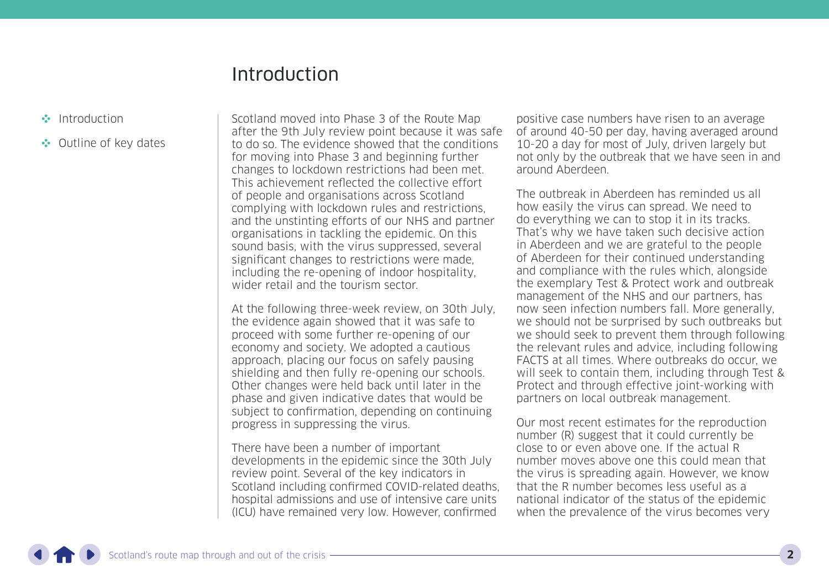## Introduction

- <span id="page-1-0"></span>Introduction
- •• [Outline of key dates](#page-8-0)

Scotland moved into Phase 3 of the Route Map after the 9th July review point because it was safe to do so. The evidence showed that the conditions for moving into Phase 3 and beginning further changes to lockdown restrictions had been met. This achievement reflected the collective effort of people and organisations across Scotland complying with lockdown rules and restrictions, and the unstinting efforts of our NHS and partner organisations in tackling the epidemic. On this sound basis, with the virus suppressed, several significant changes to restrictions were made, including the re-opening of indoor hospitality, wider retail and the tourism sector.

At the following three-week review, on 30th July, the evidence again showed that it was safe to proceed with some further re-opening of our economy and society. We adopted a cautious approach, placing our focus on safely pausing shielding and then fully re-opening our schools. Other changes were held back until later in the phase and given indicative dates that would be subject to confirmation, depending on continuing progress in suppressing the virus.

There have been a number of important developments in the epidemic since the 30th July review point. Several of the key indicators in Scotland including confirmed COVID-related deaths, hospital admissions and use of intensive care units (ICU) have remained very low. However, confirmed

positive case numbers have risen to an average of around 40-50 per day, having averaged around 10-20 a day for most of July, driven largely but not only by the outbreak that we have seen in and around Aberdeen.

The outbreak in Aberdeen has reminded us all how easily the virus can spread. We need to do everything we can to stop it in its tracks. That's why we have taken such decisive action in Aberdeen and we are grateful to the people of Aberdeen for their continued understanding and compliance with the rules which, alongside the exemplary Test & Protect work and outbreak management of the NHS and our partners, has now seen infection numbers fall. More generally, we should not be surprised by such outbreaks but we should seek to prevent them through following the relevant rules and advice, including following FACTS at all times. Where outbreaks do occur, we will seek to contain them, including through Test & Protect and through effective joint-working with partners on local outbreak management.

Our most recent estimates for the reproduction number (R) suggest that it could currently be close to or even above one. If the actual R number moves above one this could mean that the virus is spreading again. However, we know that the R number becomes less useful as a national indicator of the status of the epidemic when the prevalence of the virus becomes very

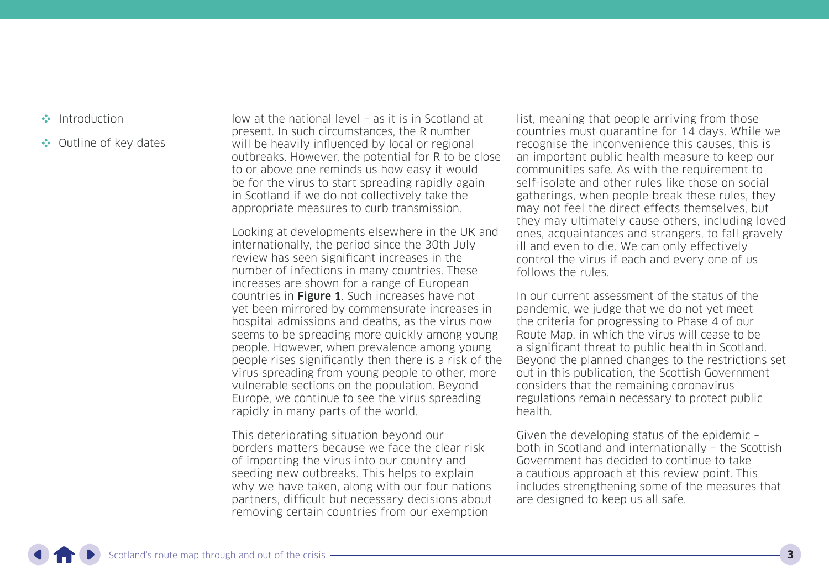- [Introduction](#page-1-0)
- •• [Outline of key dates](#page-8-0)

low at the national level – as it is in Scotland at present. In such circumstances, the R number will be heavily influenced by local or regional outbreaks. However, the potential for R to be close to or above one reminds us how easy it would be for the virus to start spreading rapidly again in Scotland if we do not collectively take the appropriate measures to curb transmission.

Looking at developments elsewhere in the UK and internationally, the period since the 30th July review has seen significant increases in the number of infections in many countries. These increases are shown for a range of European countries in **Figure 1**. Such increases have not yet been mirrored by commensurate increases in hospital admissions and deaths, as the virus now seems to be spreading more quickly among young people. However, when prevalence among young people rises significantly then there is a risk of the virus spreading from young people to other, more vulnerable sections on the population. Beyond Europe, we continue to see the virus spreading rapidly in many parts of the world.

This deteriorating situation beyond our borders matters because we face the clear risk of importing the virus into our country and seeding new outbreaks. This helps to explain why we have taken, along with our four nations partners, difficult but necessary decisions about removing certain countries from our exemption

list, meaning that people arriving from those countries must quarantine for 14 days. While we recognise the inconvenience this causes, this is an important public health measure to keep our communities safe. As with the requirement to self-isolate and other rules like those on social gatherings, when people break these rules, they may not feel the direct effects themselves, but they may ultimately cause others, including loved ones, acquaintances and strangers, to fall gravely ill and even to die. We can only effectively control the virus if each and every one of us follows the rules.

In our current assessment of the status of the pandemic, we judge that we do not yet meet the criteria for progressing to Phase 4 of our Route Map, in which the virus will cease to be a significant threat to public health in Scotland. Beyond the planned changes to the restrictions set out in this publication, the Scottish Government considers that the remaining coronavirus regulations remain necessary to protect public health.

Given the developing status of the epidemic – both in Scotland and internationally – the Scottish Government has decided to continue to take a cautious approach at this review point. This includes strengthening some of the measures that are designed to keep us all safe.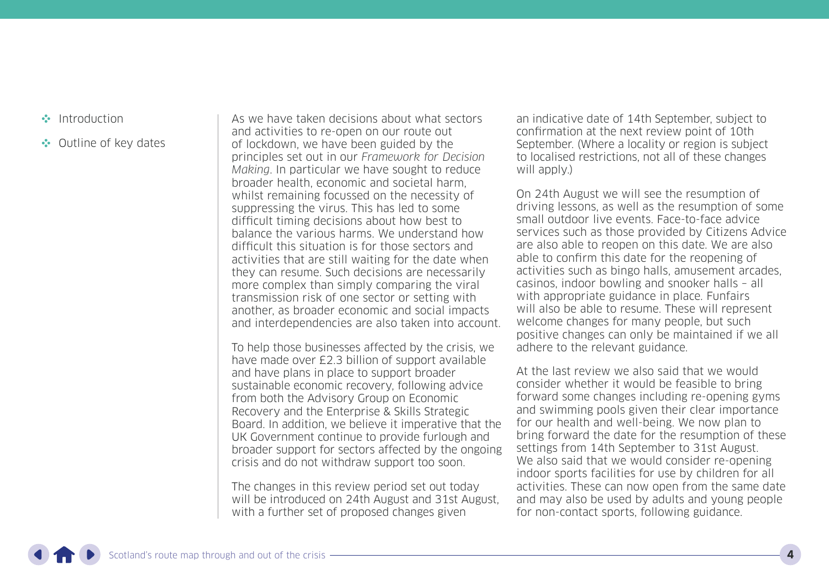- [Introduction](#page-1-0)
- •• [Outline of key dates](#page-8-0)

As we have taken decisions about what sectors and activities to re-open on our route out of lockdown, we have been guided by the principles set out in our Framework for Decision Making. In particular we have sought to reduce broader health, economic and societal harm, whilst remaining focussed on the necessity of suppressing the virus. This has led to some difficult timing decisions about how best to balance the various harms. We understand how difficult this situation is for those sectors and activities that are still waiting for the date when they can resume. Such decisions are necessarily more complex than simply comparing the viral transmission risk of one sector or setting with another, as broader economic and social impacts and interdependencies are also taken into account.

To help those businesses affected by the crisis, we have made over £2.3 billion of support available and have plans in place to support broader sustainable economic recovery, following advice from both the Advisory Group on Economic Recovery and the Enterprise & Skills Strategic Board. In addition, we believe it imperative that the UK Government continue to provide furlough and broader support for sectors affected by the ongoing crisis and do not withdraw support too soon.

The changes in this review period set out today will be introduced on 24th August and 31st August, with a further set of proposed changes given

an indicative date of 14th September, subject to confirmation at the next review point of 10th September. (Where a locality or region is subject to localised restrictions, not all of these changes will apply.)

On 24th August we will see the resumption of driving lessons, as well as the resumption of some small outdoor live events. Face-to-face advice services such as those provided by Citizens Advice are also able to reopen on this date. We are also able to confirm this date for the reopening of activities such as bingo halls, amusement arcades, casinos, indoor bowling and snooker halls – all with appropriate guidance in place. Funfairs will also be able to resume. These will represent welcome changes for many people, but such positive changes can only be maintained if we all adhere to the relevant guidance.

At the last review we also said that we would consider whether it would be feasible to bring forward some changes including re-opening gyms and swimming pools given their clear importance for our health and well-being. We now plan to bring forward the date for the resumption of these settings from 14th September to 31st August. We also said that we would consider re-opening indoor sports facilities for use by children for all activities. These can now open from the same date and may also be used by adults and young people for non-contact sports, following guidance.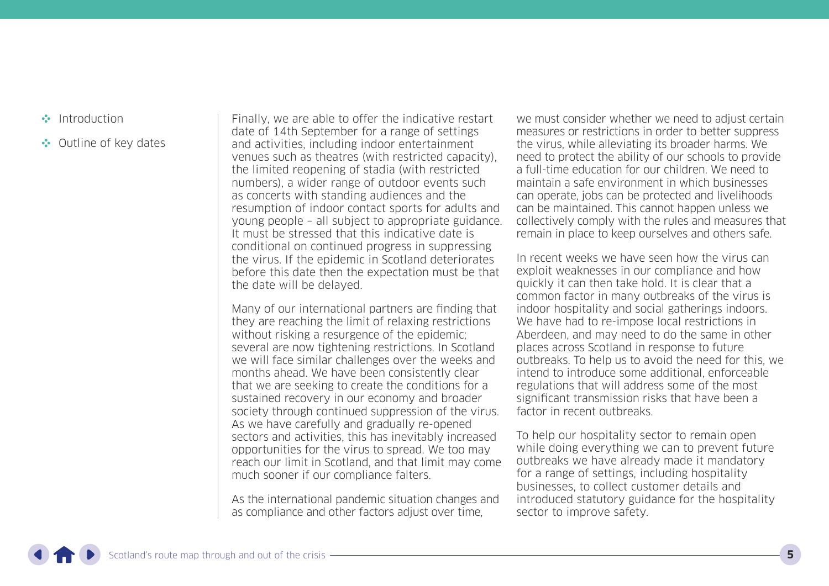- [Introduction](#page-1-0)
- •• [Outline of key dates](#page-8-0)

Finally, we are able to offer the indicative restart date of 14th September for a range of settings and activities, including indoor entertainment venues such as theatres (with restricted capacity), the limited reopening of stadia (with restricted numbers), a wider range of outdoor events such as concerts with standing audiences and the resumption of indoor contact sports for adults and young people – all subject to appropriate guidance. It must be stressed that this indicative date is conditional on continued progress in suppressing the virus. If the epidemic in Scotland deteriorates before this date then the expectation must be that the date will be delayed.

Many of our international partners are finding that they are reaching the limit of relaxing restrictions without risking a resurgence of the epidemic; several are now tightening restrictions. In Scotland we will face similar challenges over the weeks and months ahead. We have been consistently clear that we are seeking to create the conditions for a sustained recovery in our economy and broader society through continued suppression of the virus. As we have carefully and gradually re-opened sectors and activities, this has inevitably increased opportunities for the virus to spread. We too may reach our limit in Scotland, and that limit may come much sooner if our compliance falters.

As the international pandemic situation changes and as compliance and other factors adjust over time,

we must consider whether we need to adjust certain measures or restrictions in order to better suppress the virus, while alleviating its broader harms. We need to protect the ability of our schools to provide a full-time education for our children. We need to maintain a safe environment in which businesses can operate, jobs can be protected and livelihoods can be maintained. This cannot happen unless we collectively comply with the rules and measures that remain in place to keep ourselves and others safe.

In recent weeks we have seen how the virus can exploit weaknesses in our compliance and how quickly it can then take hold. It is clear that a common factor in many outbreaks of the virus is indoor hospitality and social gatherings indoors. We have had to re-impose local restrictions in Aberdeen, and may need to do the same in other places across Scotland in response to future outbreaks. To help us to avoid the need for this, we intend to introduce some additional, enforceable regulations that will address some of the most significant transmission risks that have been a factor in recent outbreaks.

To help our hospitality sector to remain open while doing everything we can to prevent future outbreaks we have already made it mandatory for a range of settings, including hospitality businesses, to collect customer details and introduced statutory guidance for the hospitality sector to improve safety.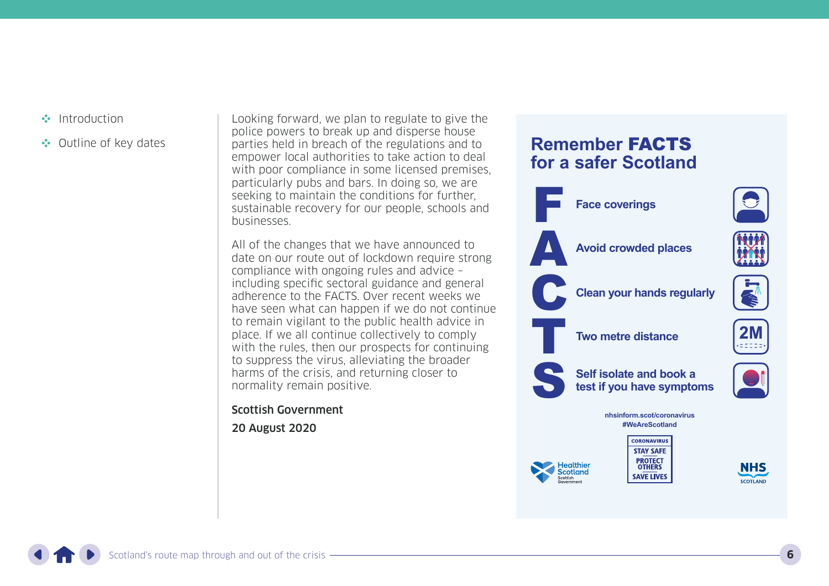- [Introduction](#page-1-0)
- •• [Outline of key dates](#page-8-0)

Looking forward, we plan to regulate to give the police powers to break up and disperse house parties held in breach of the regulations and to empower local authorities to take action to deal with poor compliance in some licensed premises. particularly pubs and bars. In doing so, we are seeking to maintain the conditions for further, sustainable recovery for our people, schools and businesses.

All of the changes that we have announced to date on our route out of lockdown require strong compliance with ongoing rules and advice – including specific sectoral guidance and general adherence to the FACTS. Over recent weeks we have seen what can happen if we do not continue to remain vigilant to the public health advice in place. If we all continue collectively to comply with the rules, then our prospects for continuing to suppress the virus, alleviating the broader harms of the crisis, and returning closer to normality remain positive.

Scottish Government

20 August 2020

### **Remember** FACTS **for a safer Scotland**



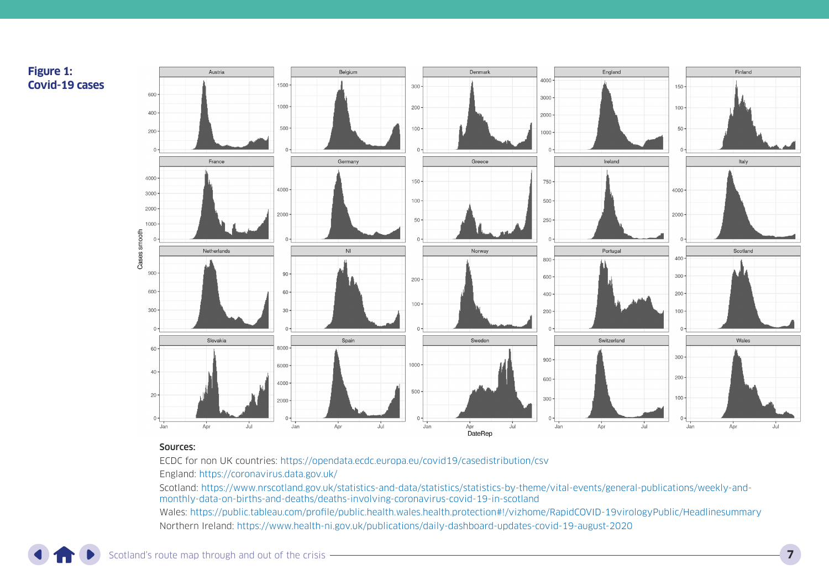

#### Sources:

ECDC for non UK countries: <https://opendata.ecdc.europa.eu/covid19/casedistribution/csv> England:<https://coronavirus.data.gov.uk/>

Scotland: [https://www.nrscotland.gov.uk/statistics-and-data/statistics/statistics-by-theme/vital-events/general-publications/weekly-and](https://www.nrscotland.gov.uk/statistics-and-data/statistics/statistics-by-theme/vital-events/general-publications/weekly-and-monthly-data-on-births-and-deaths/deaths-involving-coronavirus-covid-19-in-scotland)[monthly-data-on-births-and-deaths/deaths-involving-coronavirus-covid-19-in-scotland](https://www.nrscotland.gov.uk/statistics-and-data/statistics/statistics-by-theme/vital-events/general-publications/weekly-and-monthly-data-on-births-and-deaths/deaths-involving-coronavirus-covid-19-in-scotland)

Wales:<https://public.tableau.com/profile/public.health.wales.health.protection#!/vizhome/RapidCOVID-19virologyPublic/Headlinesummary> Northern Ireland: <https://www.health-ni.gov.uk/publications/daily-dashboard-updates-covid-19-august-2020>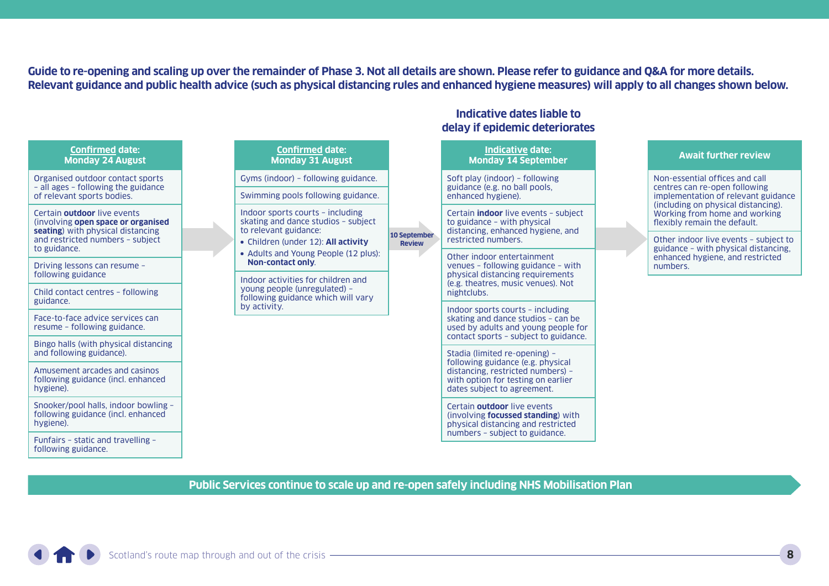**Guide to re-opening and scaling up over the remainder of Phase 3. Not all details are shown. Please refer to guidance and Q&A for more details. Relevant guidance and public health advice (such as physical distancing rules and enhanced hygiene measures) will apply to all changes shown below.**

**Indicative dates liable to** 

|                                                                                                                                                                                                                                                                     |  | delay if epidemic deteriorates                                                                                           |                               |                                                                                                                                                                                                                                                                                                                      |  |                                                                                                                                                                                                                |
|---------------------------------------------------------------------------------------------------------------------------------------------------------------------------------------------------------------------------------------------------------------------|--|--------------------------------------------------------------------------------------------------------------------------|-------------------------------|----------------------------------------------------------------------------------------------------------------------------------------------------------------------------------------------------------------------------------------------------------------------------------------------------------------------|--|----------------------------------------------------------------------------------------------------------------------------------------------------------------------------------------------------------------|
| <b>Confirmed date:</b><br><b>Monday 24 August</b>                                                                                                                                                                                                                   |  | <b>Confirmed date:</b><br><b>Monday 31 August</b>                                                                        |                               | <b>Indicative date:</b><br><b>Monday 14 September</b>                                                                                                                                                                                                                                                                |  | <b>Await further review</b>                                                                                                                                                                                    |
| Organised outdoor contact sports<br>- all ages - following the guidance<br>of relevant sports bodies.<br>Certain outdoor live events<br>(involving open space or organised<br>seating) with physical distancing<br>and restricted numbers - subject<br>to guidance. |  | Gyms (indoor) - following guidance.                                                                                      | 10 September<br><b>Review</b> | Soft play (indoor) - following<br>guidance (e.g. no ball pools,<br>enhanced hygiene).                                                                                                                                                                                                                                |  | Non-essential offices and call<br>centres can re-open following<br>implementation of relevant guidance<br>(including on physical distancing).<br>Working from home and working<br>flexibly remain the default. |
|                                                                                                                                                                                                                                                                     |  | Swimming pools following guidance.                                                                                       |                               |                                                                                                                                                                                                                                                                                                                      |  |                                                                                                                                                                                                                |
|                                                                                                                                                                                                                                                                     |  | Indoor sports courts - including<br>skating and dance studios - subject<br>to relevant guidance:                         |                               | Certain <b>indoor</b> live events - subject<br>to guidance - with physical<br>distancing, enhanced hygiene, and                                                                                                                                                                                                      |  |                                                                                                                                                                                                                |
|                                                                                                                                                                                                                                                                     |  | • Children (under 12): All activity<br>• Adults and Young People (12 plus):<br><b>Non-contact only.</b>                  |                               | restricted numbers.                                                                                                                                                                                                                                                                                                  |  | Other indoor live events - subject to<br>guidance - with physical distancing.<br>enhanced hygiene, and restricted<br>numbers.                                                                                  |
| Driving lessons can resume -                                                                                                                                                                                                                                        |  |                                                                                                                          |                               | Other indoor entertainment<br>venues - following guidance - with<br>physical distancing requirements<br>(e.g. theatres, music venues). Not<br>night clubs.<br>Indoor sports courts - including<br>skating and dance studios - can be<br>used by adults and young people for<br>contact sports - subject to guidance. |  |                                                                                                                                                                                                                |
| following guidance                                                                                                                                                                                                                                                  |  | Indoor activities for children and<br>young people (unregulated) -<br>following guidance which will vary<br>by activity. |                               |                                                                                                                                                                                                                                                                                                                      |  |                                                                                                                                                                                                                |
| Child contact centres - following<br>guidance.                                                                                                                                                                                                                      |  |                                                                                                                          |                               |                                                                                                                                                                                                                                                                                                                      |  |                                                                                                                                                                                                                |
| Face-to-face advice services can<br>resume - following guidance.                                                                                                                                                                                                    |  |                                                                                                                          |                               |                                                                                                                                                                                                                                                                                                                      |  |                                                                                                                                                                                                                |
| Bingo halls (with physical distancing                                                                                                                                                                                                                               |  |                                                                                                                          |                               |                                                                                                                                                                                                                                                                                                                      |  |                                                                                                                                                                                                                |
| and following guidance).                                                                                                                                                                                                                                            |  |                                                                                                                          |                               | Stadia (limited re-opening) -<br>following guidance (e.g. physical                                                                                                                                                                                                                                                   |  |                                                                                                                                                                                                                |
| Amusement arcades and casinos<br>following guidance (incl. enhanced<br>hygiene).                                                                                                                                                                                    |  |                                                                                                                          |                               | distancing, restricted numbers) -<br>with option for testing on earlier<br>dates subject to agreement.                                                                                                                                                                                                               |  |                                                                                                                                                                                                                |
| Snooker/pool halls, indoor bowling -<br>following guidance (incl. enhanced<br>hygiene).                                                                                                                                                                             |  |                                                                                                                          |                               | Certain outdoor live events<br>(involving focussed standing) with<br>physical distancing and restricted                                                                                                                                                                                                              |  |                                                                                                                                                                                                                |
| Funfairs - static and travelling -<br>following guidance.                                                                                                                                                                                                           |  |                                                                                                                          |                               | numbers - subject to guidance.                                                                                                                                                                                                                                                                                       |  |                                                                                                                                                                                                                |

**Public Services continue to scale up and re-open safely including NHS Mobilisation Plan**

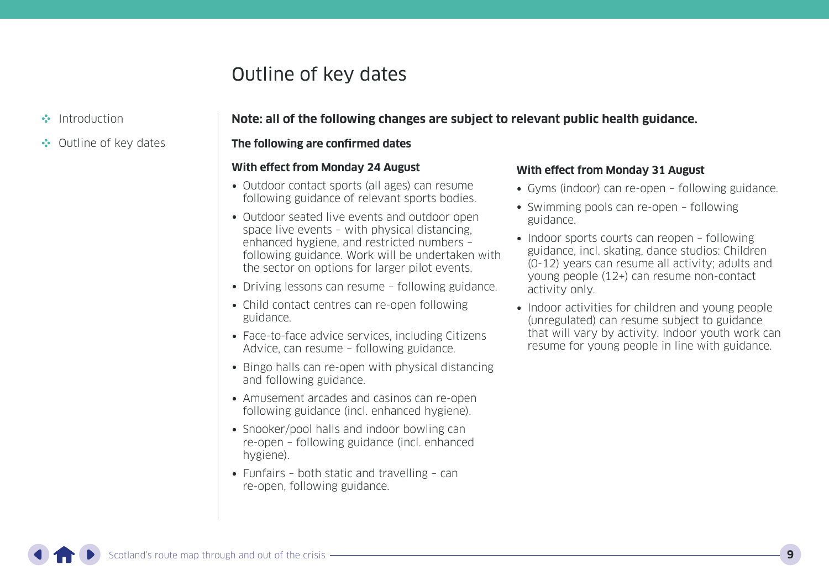## Outline of key dates

<span id="page-8-0"></span>[Introduction](#page-1-0)

#### **Note: all of the following changes are subject to relevant public health guidance.**

•• Outline of key dates

#### **The following are confirmed dates**

#### **With effect from Monday 24 August**

- Outdoor contact sports (all ages) can resume following guidance of relevant sports bodies.
- Outdoor seated live events and outdoor open space live events – with physical distancing, enhanced hygiene, and restricted numbers – following guidance. Work will be undertaken with the sector on options for larger pilot events.
- Driving lessons can resume following guidance.
- Child contact centres can re-open following guidance.
- Face-to-face advice services, including Citizens Advice, can resume – following guidance.
- Bingo halls can re-open with physical distancing and following guidance.
- Amusement arcades and casinos can re-open following guidance (incl. enhanced hygiene).
- Snooker/pool halls and indoor bowling can re-open – following guidance (incl. enhanced hygiene).
- Funfairs both static and travelling can re-open, following guidance.

#### **With effect from Monday 31 August**

- Gyms (indoor) can re-open following guidance.
- Swimming pools can re-open following guidance.
- Indoor sports courts can reopen following guidance, incl. skating, dance studios: Children (0-12) years can resume all activity; adults and young people (12+) can resume non-contact activity only.
- Indoor activities for children and young people (unregulated) can resume subject to guidance that will vary by activity. Indoor youth work can resume for young people in line with guidance.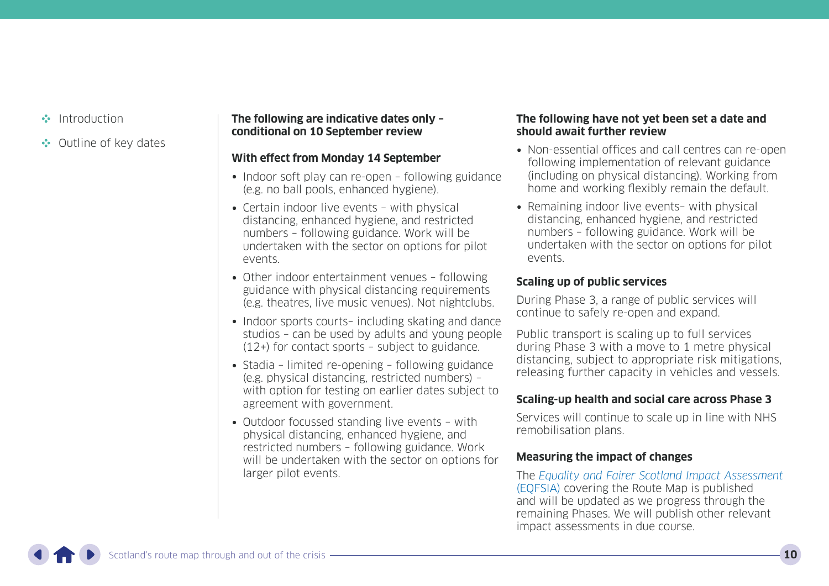- [Introduction](#page-1-0)
- •• [Outline of key dates](#page-8-0)

#### **The following are indicative dates only – conditional on 10 September review**

#### **With effect from Monday 14 September**

- Indoor soft play can re-open following guidance (e.g. no ball pools, enhanced hygiene).
- Certain indoor live events with physical distancing, enhanced hygiene, and restricted numbers – following guidance. Work will be undertaken with the sector on options for pilot events.
- Other indoor entertainment venues following guidance with physical distancing requirements (e.g. theatres, live music venues). Not nightclubs.
- Indoor sports courts- including skating and dance studios – can be used by adults and young people (12+) for contact sports – subject to guidance.
- Stadia limited re-opening following guidance (e.g. physical distancing, restricted numbers) – with option for testing on earlier dates subject to agreement with government.
- Outdoor focussed standing live events with physical distancing, enhanced hygiene, and restricted numbers – following guidance. Work will be undertaken with the sector on options for larger pilot events.

#### **The following have not yet been set a date and should await further review**

- Non-essential offices and call centres can re-open following implementation of relevant guidance (including on physical distancing). Working from home and working flexibly remain the default.
- Remaining indoor live events– with physical distancing, enhanced hygiene, and restricted numbers – following guidance. Work will be undertaken with the sector on options for pilot events.

#### **Scaling up of public services**

During Phase 3, a range of public services will continue to safely re-open and expand.

Public transport is scaling up to full services during Phase 3 with a move to 1 metre physical distancing, subject to appropriate risk mitigations, releasing further capacity in vehicles and vessels.

#### **Scaling-up health and social care across Phase 3**

Services will continue to scale up in line with NHS remobilisation plans.

#### **Measuring the impact of changes**

The [Equality and Fairer Scotland Impact Assessment](https://www.gov.scot/publications/equality-fairer-scotland-impact-assessment-evidence-gathered-scotlands-route-map-through-out-crisis/) [\(EQFSIA\)](https://www.gov.scot/publications/equality-fairer-scotland-impact-assessment-evidence-gathered-scotlands-route-map-through-out-crisis/) covering the Route Map is published and will be updated as we progress through the remaining Phases. We will publish other relevant impact assessments in due course.